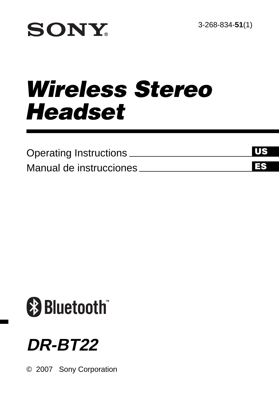# **SONY**

# *Wireless Stereo Headset*

| Operating Instructions   | ПF |
|--------------------------|----|
| Manual de instrucciones. | ГS |



## **DR-BT22**

© 2007 Sony Corporation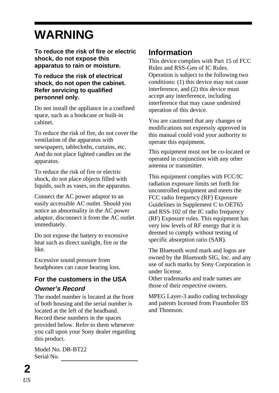## **WARNING**

**To reduce the risk of fire or electric shock, do not expose this apparatus to rain or moisture.**

#### **To reduce the risk of electrical shock, do not open the cabinet. Refer servicing to qualified personnel only.**

Do not install the appliance in a confined space, such as a bookcase or built-in cabinet.

To reduce the risk of fire, do not cover the ventilation of the apparatus with newspapers, tablecloths, curtains, etc. And do not place lighted candles on the apparatus.

To reduce the risk of fire or electric shock, do not place objects filled with liquids, such as vases, on the apparatus.

Connect the AC power adaptor to an easily accessible AC outlet. Should you notice an abnormality in the AC power adaptor, disconnect it from the AC outlet immediately.

Do not expose the battery to excessive heat such as direct sunlight, fire or the like.

Excessive sound pressure from headphones can cause hearing loss.

#### **For the customers in the USA Owner's Record**

The model number is located at the front of both housing and the serial number is located at the left of the headband. Record these numbers in the spaces provided below. Refer to them whenever you call upon your Sony dealer regarding this product.

Model No. DR-BT22 Serial No.

### **Information**

This device complies with Part 15 of FCC Rules and RSS-Gen of IC Rules. Operation is subject to the following two conditions: (1) this device may not cause interference, and (2) this device must accept any interference, including interference that may cause undesired operation of this device.

You are cautioned that any changes or modifications not expressly approved in this manual could void your authority to operate this equipment.

This equipment must not be co-located or operated in conjunction with any other antenna or transmitter.

This equipment complies with FCC/IC radiation exposure limits set forth for uncontrolled equipment and meets the FCC radio frequency (RF) Exposure Guidelines in Supplement C to OET65 and RSS-102 of the IC radio frequency (RF) Exposure rules. This equipment has very low levels of RF energy that it is deemed to comply without testing of specific absorption ratio (SAR).

The Bluetooth word mark and logos are owned by the Bluetooth SIG, Inc. and any use of such marks by Sony Corporation is under license.

Other trademarks and trade names are those of their respective owners.

MPEG Layer-3 audio coding technology and patents licensed from Fraunhofer IIS and Thomson.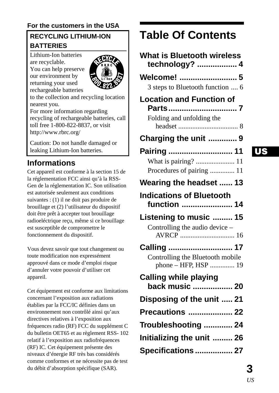#### **For the customers in the USA**

#### **RECYCLING LITHIUM-ION BATTERIES**

Lithium-Ion batteries are recyclable. You can help preserve our environment by returning your used

rechargeable batteries



to the collection and recycling location nearest you.

For more information regarding recycling of rechargeable batteries, call toll free 1-800-822-8837, or visit http://www.rbrc.org/

Caution: Do not handle damaged or leaking Lithium-Ion batteries.

#### **Informations**

Cet appareil est conforme à la section 15 de la réglementation FCC ainsi qu'à la RSS-Gen de la réglementation IC. Son utilisation est autorisée seulement aux conditions suivantes : (1) il ne doit pas produire de brouillage et (2) l'utilisateur du dispositif doit être prêt à accepter tout brouillage radioeléctrique reçu, même si ce brouillage est susceptible de compromettre le fonctionnement du dispositif.

Vous devez savoir que tout changement ou toute modification non expressément approuvé dans ce mode d'emploi risque d'annuler votre pouvoir d'utiliser cet appareil.

Cet équipement est conforme aux limitations concernant l'exposition aux radiations établies par la FCC/IC définies dans un environnement non contrôlé ainsi qu'aux directives relatives à l'exposition aux fréquences radio (RF) FCC du supplément C du bulletin OET65 et au règlement RSS- 102 relatif à l'exposition aux radiofréquences (RF) IC. Cet équipement présente des niveaux d'énergie RF très bas considérés comme conformes et ne nécessite pas de test du débit d'absorption spécifique (SAR).

### **Table Of Contents**

| What is Bluetooth wireless<br>technology?  4             |
|----------------------------------------------------------|
| Welcome!  5                                              |
| 3 steps to Bluetooth function  6                         |
| <b>Location and Function of</b><br>Parts7                |
| Folding and unfolding the                                |
| Charging the unit  9                                     |
| Pairing  11                                              |
| What is pairing?  11                                     |
| Procedures of pairing  11                                |
| Wearing the headset  13                                  |
| <b>Indications of Bluetooth</b><br>function  14          |
| Listening to music  15                                   |
| Controlling the audio device -                           |
| Calling  17                                              |
| Controlling the Bluetooth mobile<br>phone - HFP, HSP  19 |
| Calling while playing<br>back music  20                  |
| Disposing of the unit  21                                |
|                                                          |
| <b>Precautions  22</b>                                   |
|                                                          |
| Troubleshooting  24<br>Initializing the unit  26         |

### *US*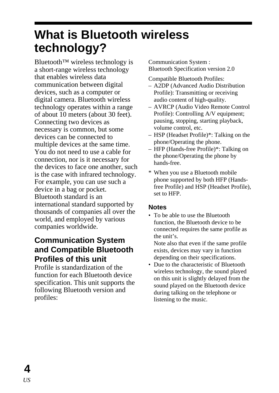## <span id="page-3-0"></span>**What is Bluetooth wireless technology?**

Bluetooth™ wireless technology is a short-range wireless technology that enables wireless data communication between digital devices, such as a computer or digital camera. Bluetooth wireless technology operates within a range of about 10 meters (about 30 feet). Connecting two devices as necessary is common, but some devices can be connected to multiple devices at the same time. You do not need to use a cable for connection, nor is it necessary for the devices to face one another, such is the case with infrared technology. For example, you can use such a device in a bag or pocket. Bluetooth standard is an international standard supported by thousands of companies all over the world, and employed by various companies worldwide.

### **Communication System and Compatible Bluetooth Profiles of this unit**

Profile is standardization of the function for each Bluetooth device specification. This unit supports the following Bluetooth version and profiles:

Communication System : Bluetooth Specification version 2.0

Compatible Bluetooth Profiles:

- A2DP (Advanced Audio Distribution Profile): Transmitting or receiving audio content of high-quality.
- AVRCP (Audio Video Remote Control Profile): Controlling A/V equipment; pausing, stopping, starting playback, volume control, etc.
- HSP (Headset Profile)\*: Talking on the phone/Operating the phone.
- HFP (Hands-free Profile)\*: Talking on the phone/Operating the phone by hands-free.
- \* When you use a Bluetooth mobile phone supported by both HFP (Handsfree Profile) and HSP (Headset Profile), set to HFP.

#### **Notes**

• To be able to use the Bluetooth function, the Bluetooth device to be connected requires the same profile as the unit's.

Note also that even if the same profile exists, devices may vary in function depending on their specifications.

• Due to the characteristic of Bluetooth wireless technology, the sound played on this unit is slightly delayed from the sound played on the Bluetooth device during talking on the telephone or listening to the music.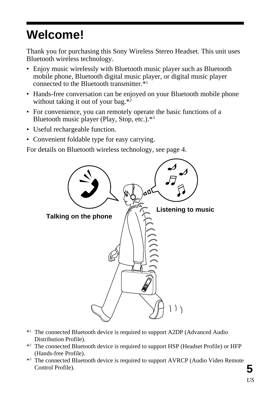## <span id="page-4-0"></span>**Welcome!**

Thank you for purchasing this Sony Wireless Stereo Headset. This unit uses Bluetooth wireless technology.

- Enjoy music wirelessly with Bluetooth music player such as Bluetooth mobile phone, Bluetooth digital music player, or digital music player connected to the Bluetooth transmitter.\*1
- Hands-free conversation can be enjoyed on your Bluetooth mobile phone without taking it out of your bag.\*<sup>2</sup>
- For convenience, you can remotely operate the basic functions of a Bluetooth music player (Play, Stop, etc.).\*3
- Useful rechargeable function.
- Convenient foldable type for easy carrying.

For details on Bluetooth wireless technology, see page 4.



- \*1 The connected Bluetooth device is required to support A2DP (Advanced Audio Distribution Profile).
- \*2 The connected Bluetooth device is required to support HSP (Headset Profile) or HFP (Hands-free Profile).
- \*3 The connected Bluetooth device is required to support AVRCP (Audio Video Remote Control Profile).

**5**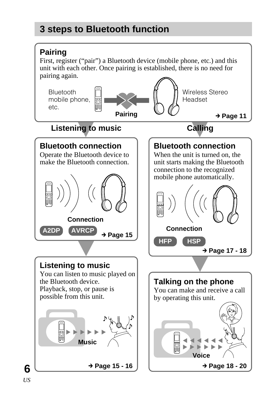### <span id="page-5-0"></span>**3 steps to Bluetooth function**

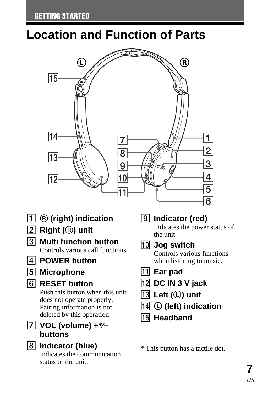## <span id="page-6-0"></span>**Location and Function of Parts**



- 1 R **(right) indication**
- 2 **Right (**R**) unit**
- 3 **Multi function button** Controls various call functions.
- 4 **POWER button**
- 5 **Microphone**
- 6 **RESET button**

Push this button when this unit does not operate properly. Pairing information is not deleted by this operation.

- 7 **VOL (volume) +\*⁄– buttons**
- 8 **Indicator (blue)** Indicates the communication status of the unit.

### 9 **Indicator (red)**

Indicates the power status of the unit.

0 **Jog switch**

Controls various functions when listening to music.

- $\overline{11}$  Ear pad
- qs **DC IN 3 V jack**
- qd **Left (**L**) unit**
- **14 C** (left) indication
- **15** Headband

\* This button has a tactile dot.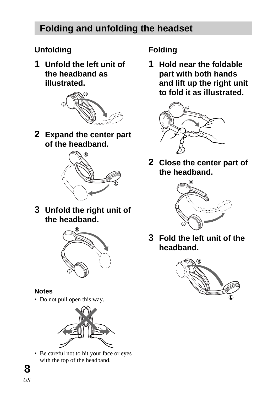### <span id="page-7-0"></span>**Folding and unfolding the headset**

### **Unfolding**

**1 Unfold the left unit of the headband as illustrated.**



**2 Expand the center part of the headband.**



**3 Unfold the right unit of the headband.**



#### **Notes**

• Do not pull open this way.



• Be careful not to hit your face or eyes with the top of the headband.

### **Folding**

**1 Hold near the foldable part with both hands and lift up the right unit to fold it as illustrated.**



**2 Close the center part of the headband.**



**3 Fold the left unit of the headband.**

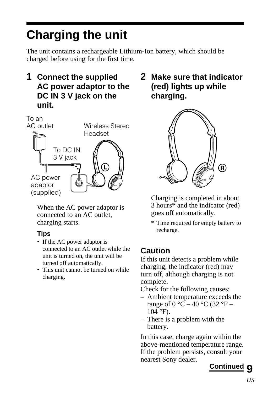## <span id="page-8-0"></span>**Charging the unit**

The unit contains a rechargeable Lithium-Ion battery, which should be charged before using for the first time.

**1 Connect the supplied AC power adaptor to the DC IN 3 V jack on the unit.**



When the AC power adaptor is connected to an AC outlet, charging starts.

#### **Tips**

- If the AC power adaptor is connected to an AC outlet while the unit is turned on, the unit will be turned off automatically.
- This unit cannot be turned on while charging.

**2 Make sure that indicator (red) lights up while charging.**



Charging is completed in about 3 hours\* and the indicator (red) goes off automatically.

\* Time required for empty battery to recharge.

### **Caution**

If this unit detects a problem while charging, the indicator (red) may turn off, although charging is not complete.

Check for the following causes:

- Ambient temperature exceeds the range of  $0^{\circ}C - 40^{\circ}C$  (32  $^{\circ}F -$ 104 °F).
- There is a problem with the battery.

In this case, charge again within the above-mentioned temperature range. If the problem persists, consult your nearest Sony dealer.

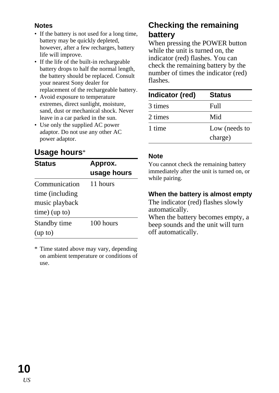#### **Notes**

- If the battery is not used for a long time. battery may be quickly depleted, however, after a few recharges, battery life will improve.
- If the life of the built-in rechargeable battery drops to half the normal length, the battery should be replaced. Consult your nearest Sony dealer for replacement of the rechargeable battery.
- Avoid exposure to temperature extremes, direct sunlight, moisture, sand, dust or mechanical shock. Never leave in a car parked in the sun.
- Use only the supplied AC power adaptor. Do not use any other AC power adaptor.

### **Usage hours**\*

| <b>Status</b>   | Approx.     |  |
|-----------------|-------------|--|
|                 | usage hours |  |
| Communication   | 11 hours    |  |
| time (including |             |  |
| music playback  |             |  |
| $time)$ (up to) |             |  |
| Standby time    | 100 hours   |  |
| (up to)         |             |  |

\* Time stated above may vary, depending on ambient temperature or conditions of use.

### **Checking the remaining battery**

When pressing the POWER button while the unit is turned on, the indicator (red) flashes. You can check the remaining battery by the number of times the indicator (red) flashes.

| Indicator (red) | <b>Status</b> |
|-----------------|---------------|
| 3 times         | Full          |
| 2 times         | Mid           |
| 1 time          | Low (needs to |
|                 | charge)       |

#### **Note**

You cannot check the remaining battery immediately after the unit is turned on, or while pairing.

#### **When the battery is almost empty**

The indicator (red) flashes slowly automatically.

When the battery becomes empty, a beep sounds and the unit will turn off automatically.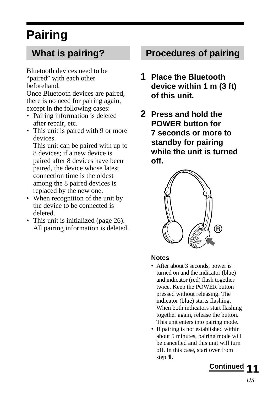## <span id="page-10-0"></span>**Pairing**

### **What is pairing?**

Bluetooth devices need to be "paired" with each other beforehand.

Once Bluetooth devices are paired, there is no need for pairing again, except in the following cases:

- Pairing information is deleted after repair, etc.
- This unit is paired with 9 or more devices.

This unit can be paired with up to 8 devices; if a new device is paired after 8 devices have been paired, the device whose latest connection time is the oldest among the 8 paired devices is replaced by the new one.

- When recognition of the unit by the device to be connected is deleted.
- This unit is initialized (page 26). All pairing information is deleted.

### **Procedures of pairing**

- **1 Place the Bluetooth device within 1 m (3 ft) of this unit.**
- **2 Press and hold the POWER button for 7 seconds or more to standby for pairing while the unit is turned off.**



#### **Notes**

- After about 3 seconds, power is turned on and the indicator (blue) and indicator (red) flash together twice. Keep the POWER button pressed without releasing. The indicator (blue) starts flashing. When both indicators start flashing together again, release the button. This unit enters into pairing mode.
- If pairing is not established within about 5 minutes, pairing mode will be cancelled and this unit will turn off. In this case, start over from step *1*.

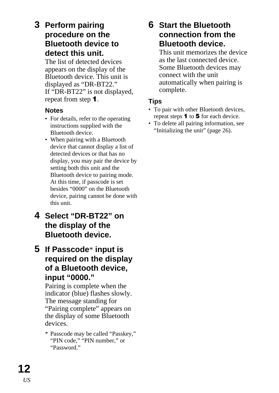### **3 Perform pairing procedure on the Bluetooth device to detect this unit.**

The list of detected devices appears on the display of the Bluetooth device. This unit is displayed as "DR-BT22." If "DR-BT22" is not displayed, repeat from step *1*.

#### **Notes**

- For details, refer to the operating instructions supplied with the Bluetooth device.
- When pairing with a Bluetooth device that cannot display a list of detected devices or that has no display, you may pair the device by setting both this unit and the Bluetooth device to pairing mode. At this time, if passcode is set besides "0000" on the Bluetooth device, pairing cannot be done with this unit.
- **4 Select "DR-BT22" on the display of the Bluetooth device.**
- **5 If Passcode**\* **input is required on the display of a Bluetooth device, input "0000."**

Pairing is complete when the indicator (blue) flashes slowly. The message standing for "Pairing complete" appears on the display of some Bluetooth devices.

\* Passcode may be called "Passkey," "PIN code," "PIN number," or "Password."

#### **6 Start the Bluetooth connection from the Bluetooth device.**

This unit memorizes the device as the last connected device. Some Bluetooth devices may connect with the unit automatically when pairing is complete.

#### **Tips**

- To pair with other Bluetooth devices, repeat steps *1* to *5* for each device.
- To delete all pairing information, see "Initializing the unit" (page 26).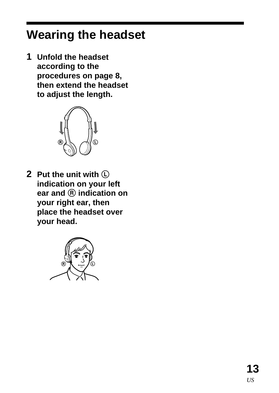## <span id="page-12-0"></span>**Wearing the headset**

**1 Unfold the headset according to the procedures on page 8, then extend the headset to adjust the length.**



**2 Put the unit with** L **indication on your left ear and** R **indication on your right ear, then place the headset over your head.**

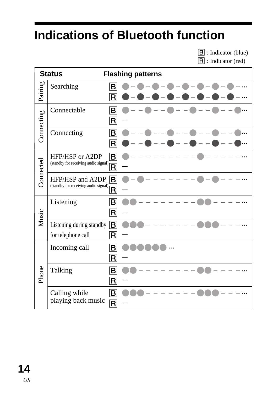## <span id="page-13-0"></span>**Indications of Bluetooth function**

**B** : Indicator (blue)

 $\overline{\mathsf{R}}$  : Indicator (red)

|            | <b>Status</b>                                  | <b>Flashing patterns</b>               |
|------------|------------------------------------------------|----------------------------------------|
| Pairing    | Searching                                      | B<br>R                                 |
| Connecting | Connectable                                    | B <br>$ \mathsf{R} $                   |
|            | Connecting                                     | $\vert$ B $\vert$<br>R                 |
| Connected  | HFP/HSP or A2DP                                | B                                      |
|            | HFP/HSP and A2DP                               | IBI<br>$ -$                            |
| Music      | Listening                                      | B<br>R                                 |
|            | Listening during standby<br>for telephone call | IBI<br>R                               |
|            | Incoming call                                  | B<br>$ \mathsf{R} $                    |
| Phone      | Talking                                        | B<br>$\vert$ R $\vert$                 |
|            | Calling while<br>playing back music            | $\boxed{\mathsf{B}}$<br>$ \mathsf{R} $ |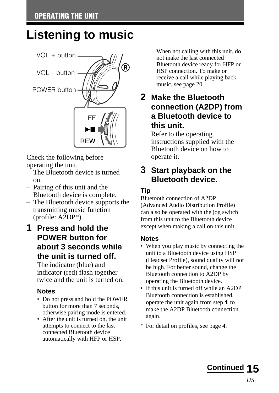## <span id="page-14-0"></span>**Listening to music**



Check the following before operating the unit.

- $-$  The Bluetooth device is turned on.
- Pairing of this unit and the Bluetooth device is complete.
- The Bluetooth device supports the transmitting music function (profile: A2DP\*).
- **1 Press and hold the POWER button for about 3 seconds while the unit is turned off.**

The indicator (blue) and indicator (red) flash together twice and the unit is turned on.

#### **Notes**

- Do not press and hold the POWER button for more than 7 seconds, otherwise pairing mode is entered.
- After the unit is turned on, the unit attempts to connect to the last connected Bluetooth device automatically with HFP or HSP.

When not calling with this unit, do not make the last connected Bluetooth device ready for HFP or HSP connection. To make or receive a call while playing back music, see page 20.

### **2 Make the Bluetooth connection (A2DP) from a Bluetooth device to this unit.**

Refer to the operating instructions supplied with the Bluetooth device on how to operate it.

### **3 Start playback on the Bluetooth device.**

#### **Tip**

Bluetooth connection of A2DP (Advanced Audio Distribution Profile) can also be operated with the jog switch from this unit to the Bluetooth device except when making a call on this unit.

#### **Notes**

- When you play music by connecting the unit to a Bluetooth device using HSP (Headset Profile), sound quality will not be high. For better sound, change the Bluetooth connection to A2DP by operating the Bluetooth device.
- If this unit is turned off while an A2DP Bluetooth connection is established, operate the unit again from step *1* to make the A2DP Bluetooth connection again.
- \* For detail on profiles, see page 4.

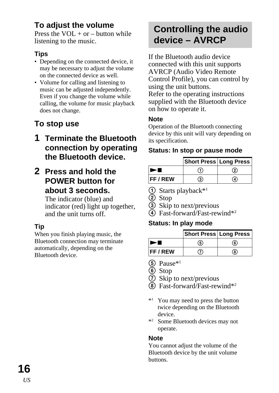### <span id="page-15-0"></span>**To adjust the volume**

Press the  $VOI + or = hutton while$ listening to the music.

#### **Tips**

- Depending on the connected device, it may be necessary to adjust the volume on the connected device as well.
- Volume for calling and listening to music can be adjusted independently. Even if you change the volume while calling, the volume for music playback does not change.

### **To stop use**

- **1 Terminate the Bluetooth connection by operating the Bluetooth device.**
- **2 Press and hold the POWER button for about 3 seconds.**

The indicator (blue) and indicator (red) light up together, and the unit turns off.

#### **Tip**

When you finish playing music, the Bluetooth connection may terminate automatically, depending on the Bluetooth device.

### **Controlling the audio device – AVRCP**

If the Bluetooth audio device connected with this unit supports AVRCP (Audio Video Remote Control Profile), you can control by using the unit buttons. Refer to the operating instructions supplied with the Bluetooth device on how to operate it.

#### **Note**

Operation of the Bluetooth connecting device by this unit will vary depending on its specification.

#### **Status: In stop or pause mode**

|                 | Short Press   Long Press |   |
|-----------------|--------------------------|---|
|                 |                          | ② |
| <b>FF / REW</b> | จ                        | ጉ |

- 1 Starts playback\*1
- $\overline{2}$  Stop
- 3 Skip to next/previous
- 4 Fast-forward/Fast-rewind\*2

#### **Status: In play mode**

|               | <b>Short Press Long Press</b> |    |
|---------------|-------------------------------|----|
|               | ග                             | 6) |
| <b>FF/REW</b> |                               | 8. |

- $(5)$  Pause<sup>\*1</sup>
- 6 Stop
- 7 Skip to next/previous
- 8 Fast-forward/Fast-rewind\*2
- \*1 You may need to press the button twice depending on the Bluetooth device.
- \*2 Some Bluetooth devices may not operate.

#### **Note**

You cannot adjust the volume of the Bluetooth device by the unit volume buttons.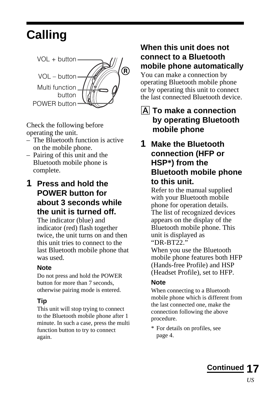## <span id="page-16-0"></span>**Calling**



Check the following before operating the unit.

- The Bluetooth function is active on the mobile phone.
- Pairing of this unit and the Bluetooth mobile phone is complete.
- **1 Press and hold the POWER button for about 3 seconds while the unit is turned off.**

The indicator (blue) and indicator (red) flash together twice, the unit turns on and then this unit tries to connect to the last Bluetooth mobile phone that was used.

#### **Note**

Do not press and hold the POWER button for more than 7 seconds, otherwise pairing mode is entered.

#### **Tip**

This unit will stop trying to connect to the Bluetooth mobile phone after 1 minute. In such a case, press the multi function button to try to connect again.

### **When this unit does not connect to a Bluetooth mobile phone automatically**

You can make a connection by operating Bluetooth mobile phone or by operating this unit to connect the last connected Bluetooth device.

### **A** To make a connection **by operating Bluetooth mobile phone**

**1 Make the Bluetooth connection (HFP or HSP\*) from the Bluetooth mobile phone to this unit.**

> Refer to the manual supplied with your Bluetooth mobile phone for operation details. The list of recognized devices appears on the display of the Bluetooth mobile phone. This unit is displayed as "DR-BT22."

When you use the Bluetooth mobile phone features both HFP (Hands-free Profile) and HSP (Headset Profile), set to HFP.

#### **Note**

When connecting to a Bluetooth mobile phone which is different from the last connected one, make the connection following the above procedure.

\* For details on profiles, see page 4.

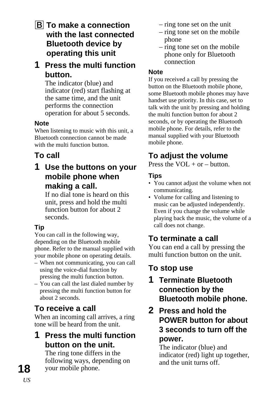**B** To make a connection **with the last connected Bluetooth device by operating this unit**

#### **1 Press the multi function button.**

The indicator (blue) and indicator (red) start flashing at the same time, and the unit performs the connection operation for about 5 seconds.

#### **Note**

When listening to music with this unit, a Bluetooth connection cannot be made with the multi function button.

### **To call**

### **1 Use the buttons on your mobile phone when making a call.**

If no dial tone is heard on this unit, press and hold the multi function button for about 2 seconds.

### **Tip**

You can call in the following way, depending on the Bluetooth mobile phone. Refer to the manual supplied with your mobile phone on operating details.

- When not communicating, you can call using the voice-dial function by pressing the multi function button.
- You can call the last dialed number by pressing the multi function button for about 2 seconds.

### **To receive a call**

When an incoming call arrives, a ring tone will be heard from the unit.

### **1 Press the multi function button on the unit.**

The ring tone differs in the following ways, depending on your mobile phone.

- ring tone set on the unit
- ring tone set on the mobile phone
- ring tone set on the mobile phone only for Bluetooth connection

#### **Note**

If you received a call by pressing the button on the Bluetooth mobile phone, some Bluetooth mobile phones may have handset use priority. In this case, set to talk with the unit by pressing and holding the multi function button for about 2 seconds, or by operating the Bluetooth mobile phone. For details, refer to the manual supplied with your Bluetooth mobile phone.

### **To adjust the volume**

Press the  $VOI + or = hutton$ .

#### **Tips**

- You cannot adjust the volume when not communicating.
- Volume for calling and listening to music can be adjusted independently. Even if you change the volume while playing back the music, the volume of a call does not change.

### **To terminate a call**

You can end a call by pressing the multi function button on the unit.

### **To stop use**

### **1 Terminate Bluetooth connection by the Bluetooth mobile phone.**

#### **2 Press and hold the POWER button for about 3 seconds to turn off the power.**

The indicator (blue) and indicator (red) light up together, and the unit turns off.

**18** *US*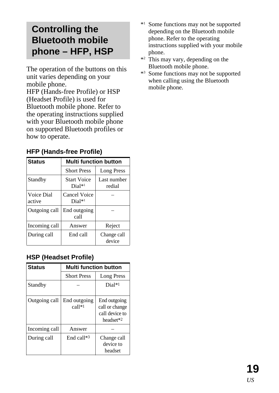### <span id="page-18-0"></span>**Controlling the Bluetooth mobile phone – HFP, HSP**

The operation of the buttons on this unit varies depending on your mobile phone.

HFP (Hands-free Profile) or HSP (Headset Profile) is used for Bluetooth mobile phone. Refer to the operating instructions supplied with your Bluetooth mobile phone on supported Bluetooth profiles or how to operate.

#### **HFP (Hands-free Profile)**

| <b>Status</b>        | <b>Multi function button</b>   |                       |
|----------------------|--------------------------------|-----------------------|
|                      | <b>Short Press</b>             | <b>Long Press</b>     |
| Standby              | <b>Start Voice</b><br>$Dial*1$ | Last number<br>redial |
| Voice Dial<br>active | Cancel Voice<br>$Dial*1$       |                       |
| Outgoing call        | End outgoing<br>call           |                       |
| Incoming call        | Answer                         | Reject                |
| During call          | End call                       | Change call<br>device |

#### **HSP (Headset Profile)**

| <b>Status</b> | Multi function button  |                                                                           |
|---------------|------------------------|---------------------------------------------------------------------------|
|               | <b>Short Press</b>     | <b>Long Press</b>                                                         |
| Standby       |                        | Dial*1                                                                    |
| Outgoing call | End outgoing<br>call*1 | End outgoing<br>call or change<br>call device to<br>headset <sup>*2</sup> |
| Incoming call | Answer                 |                                                                           |
| During call   | End call*3             | Change call<br>device to<br>headset                                       |

- \*1 Some functions may not be supported depending on the Bluetooth mobile phone. Refer to the operating instructions supplied with your mobile phone.
- \*<sup>2</sup> This may vary, depending on the Bluetooth mobile phone.
- \*3 Some functions may not be supported when calling using the Bluetooth mobile phone.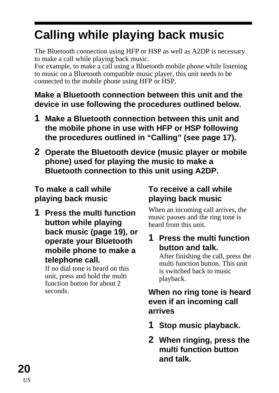## <span id="page-19-0"></span>**Calling while playing back music**

The Bluetooth connection using HFP or HSP as well as A2DP is necessary to make a call while playing back music.

For example, to make a call using a Bluetooth mobile phone while listening to music on a Bluetooth compatible music player, this unit needs to be connected to the mobile phone using HFP or HSP.

### **Make a Bluetooth connection between this unit and the device in use following the procedures outlined below.**

- **1 Make a Bluetooth connection between this unit and the mobile phone in use with HFP or HSP following the procedures outlined in "Calling" (see page 17).**
- **2 Operate the Bluetooth device (music player or mobile phone) used for playing the music to make a Bluetooth connection to this unit using A2DP.**

### **To make a call while playing back music**

**1 Press the multi function button while playing back music (page 19), or operate your Bluetooth mobile phone to make a telephone call.**

If no dial tone is heard on this unit, press and hold the multi function button for about 2 seconds.

### **To receive a call while playing back music**

When an incoming call arrives, the music pauses and the ring tone is heard from this unit.

### **1 Press the multi function button and talk.**

After finishing the call, press the multi function button. This unit is switched back to music playback.

### **When no ring tone is heard even if an incoming call arrives**

- **1 Stop music playback.**
- **2 When ringing, press the multi function button and talk.**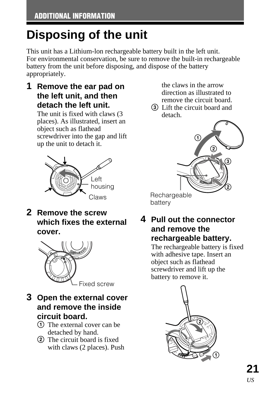## <span id="page-20-0"></span>**Disposing of the unit**

This unit has a Lithium-lon rechargeable battery built in the left unit. For environmental conservation, be sure to remove the built-in rechargeable battery from the unit before disposing, and dispose of the battery appropriately.

**1 Remove the ear pad on the left unit, and then detach the left unit.**

The unit is fixed with claws (3 places). As illustrated, insert an object such as flathead screwdriver into the gap and lift up the unit to detach it.



**2 Remove the screw which fixes the external cover.**



**3 Open the external cover and remove the inside circuit board.**

- 1 The external cover can be detached by hand.
- 2 The circuit board is fixed with claws (2 places). Push

the claws in the arrow direction as illustrated to remove the circuit board.

3 Lift the circuit board and detach.



**4 Pull out the connector and remove the rechargeable battery.**

> The rechargeable battery is fixed with adhesive tape. Insert an object such as flathead screwdriver and lift up the battery to remove it.

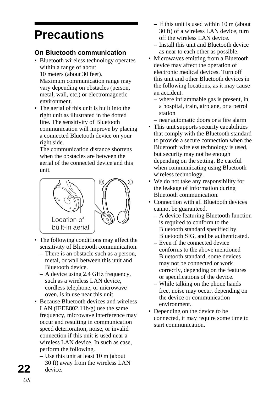## <span id="page-21-0"></span>**Precautions**

#### **On Bluetooth communication**

- Bluetooth wireless technology operates within a range of about 10 meters (about 30 feet). Maximum communication range may vary depending on obstacles (person, metal, wall, etc.) or electromagnetic environment.
- The aerial of this unit is built into the right unit as illustrated in the dotted line. The sensitivity of Bluetooth communication will improve by placing a connected Bluetooth device on your right side.

The communication distance shortens when the obstacles are between the aerial of the connected device and this unit.



- The following conditions may affect the sensitivity of Bluetooth communication.
	- There is an obstacle such as a person, metal, or wall between this unit and Bluetooth device.
	- A device using 2.4 GHz frequency, such as a wireless LAN device, cordless telephone, or microwave oven, is in use near this unit.
- Because Bluetooth devices and wireless LAN (IEEE802.11 $b/e$ ) use the same frequency, microwave interference may occur and resulting in communication speed deterioration, noise, or invalid connection if this unit is used near a wireless LAN device. In such as case, perform the following.
	- Use this unit at least 10 m (about 30 ft) away from the wireless LAN device.
- If this unit is used within 10 m (about 30 ft) of a wireless LAN device, turn off the wireless LAN device.
- Install this unit and Bluetooth device as near to each other as possible.
- Microwaves emitting from a Bluetooth device may affect the operation of electronic medical devices. Turn off this unit and other Bluetooth devices in the following locations, as it may cause an accident.
	- where inflammable gas is present, in a hospital, train, airplane, or a petrol station
	- near automatic doors or a fire alarm
- This unit supports security capabilities that comply with the Bluetooth standard to provide a secure connection when the Bluetooth wireless technology is used, but security may not be enough depending on the setting. Be careful when communicating using Bluetooth wireless technology.
- We do not take any responsibility for the leakage of information during Bluetooth communication.
- Connection with all Bluetooth devices cannot be guaranteed.
	- A device featuring Bluetooth function is required to conform to the Bluetooth standard specified by Bluetooth SIG, and be authenticated.
	- Even if the connected device conforms to the above mentioned Bluetooth standard, some devices may not be connected or work correctly, depending on the features or specifications of the device.
	- While talking on the phone hands free, noise may occur, depending on the device or communication environment.
- Depending on the device to be connected, it may require some time to start communication.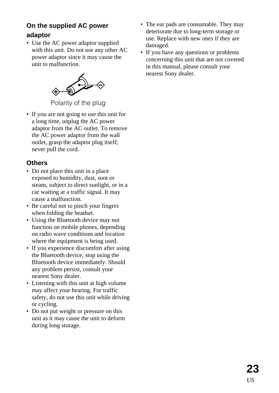#### **On the supplied AC power adaptor**

• Use the AC power adaptor supplied with this unit. Do not use any other AC power adaptor since it may cause the unit to malfunction.



Polarity of the plug

• If you are not going to use this unit for a long time, unplug the AC power adaptor from the AC outlet. To remove the AC power adaptor from the wall outlet, grasp the adaptor plug itself; never pull the cord.

#### **Others**

- Do not place this unit in a place exposed to humidity, dust, soot or steam, subject to direct sunlight, or in a car waiting at a traffic signal. It may cause a malfunction.
- Be careful not to pinch your fingers when folding the headset.
- Using the Bluetooth device may not function on mobile phones, depending on radio wave conditions and location where the equipment is being used.
- If you experience discomfort after using the Bluetooth device, stop using the Bluetooth device immediately. Should any problem persist, consult your nearest Sony dealer.
- Listening with this unit at high volume may affect your hearing. For traffic safety, do not use this unit while driving or cycling.
- Do not put weight or pressure on this unit as it may cause the unit to deform during long storage.
- The ear pads are consumable. They may deteriorate due to long-term storage or use. Replace with new ones if they are damaged.
- If you have any questions or problems concerning this unit that are not covered in this manual, please consult your nearest Sony dealer.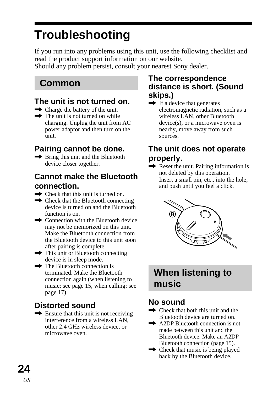## <span id="page-23-0"></span>**Troubleshooting**

If you run into any problems using this unit, use the following checklist and read the product support information on our website.

Should any problem persist, consult your nearest Sony dealer.

### **Common**

### **The unit is not turned on.**

- $\rightarrow$  Charge the battery of the unit.
- $\rightarrow$  The unit is not turned on while charging. Unplug the unit from AC power adaptor and then turn on the unit.

### **Pairing cannot be done.**

 $\rightarrow$  Bring this unit and the Bluetooth device closer together.

#### **Cannot make the Bluetooth connection.**

- $\rightarrow$  Check that this unit is turned on.
- $\rightarrow$  Check that the Bluetooth connecting device is turned on and the Bluetooth function is on.
- $\rightarrow$  Connection with the Bluetooth device may not be memorized on this unit. Make the Bluetooth connection from the Bluetooth device to this unit soon after pairing is complete.
- $\rightarrow$  This unit or Bluetooth connecting device is in sleep mode.
- $\rightarrow$  The Bluetooth connection is terminated. Make the Bluetooth connection again (when listening to music: see page 15, when calling: see page 17).

### **Distorted sound**

 $\rightarrow$  Ensure that this unit is not receiving interference from a wireless LAN, other 2.4 GHz wireless device, or microwave oven.

#### **The correspondence distance is short. (Sound skips.)**

 $\rightarrow$  If a device that generates electromagnetic radiation, such as a wireless LAN, other Bluetooth device(s), or a microwave oven is nearby, move away from such sources.

### **The unit does not operate properly.**

 $\rightarrow$  Reset the unit. Pairing information is not deleted by this operation. Insert a small pin, etc., into the hole, and push until you feel a click.



### **When listening to music**

### **No sound**

- $\rightarrow$  Check that both this unit and the Bluetooth device are turned on.
- **→** A2DP Bluetooth connection is not made between this unit and the Bluetooth device. Make an A2DP Bluetooth connection (page 15).
- $\rightarrow$  Check that music is being played back by the Bluetooth device.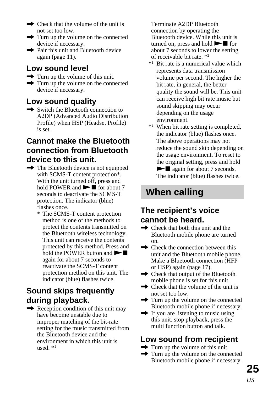- $\rightarrow$  Check that the volume of the unit is not set too low.
- $\rightarrow$  Turn up the volume on the connected device if necessary.
- $\rightarrow$  Pair this unit and Bluetooth device again (page 11).

### **Low sound level**

- $\rightarrow$  Turn up the volume of this unit.
- $\rightarrow$  Turn up the volume on the connected device if necessary.

### **Low sound quality**

 $\rightarrow$  Switch the Bluetooth connection to A2DP (Advanced Audio Distribution Profile) when HSP (Headset Profile) is set.

#### **Cannot make the Bluetooth connection from Bluetooth device to this unit.**

- $\rightarrow$  The Bluetooth device is not equipped with SCMS-T content protection\*. With the unit turned off, press and hold POWER and  $\blacktriangleright$  for about 7 seconds to deactivate the SCMS-T protection. The indicator (blue) flashes once.
	- \* The SCMS-T content protection method is one of the methods to protect the contents transmitted on the Bluetooth wireless technology. This unit can receive the contents protected by this method. Press and hold the POWER button and  $\blacktriangleright$ again for about 7 seconds to reactivate the SCMS-T content protection method on this unit. The indicator (blue) flashes twice.

### **Sound skips frequently during playback.**

 $\rightarrow$  Reception condition of this unit may have become unstable due to improper matching of the bit-rate setting for the music transmitted from the Bluetooth device and the environment in which this unit is used. \*1

Terminate A2DP Bluetooth connection by operating the Bluetooth device. While this unit is turned on, press and hold  $\blacktriangleright$  for about 7 seconds to lower the setting of receivable bit rate. \*2

- \*1 Bit rate is a numerical value which represents data transmission volume per second. The higher the bit rate, in general, the better quality the sound will be. This unit can receive high bit rate music but sound skipping may occur depending on the usage environment.
- \*2 When bit rate setting is completed, the indicator (blue) flashes once. The above operations may not reduce the sound skip depending on the usage environment. To reset to the original setting, press and hold  $\blacktriangleright$  again for about 7 seconds. The indicator (blue) flashes twice.

### **When calling**

### **The recipient's voice cannot be heard.**

- $\rightarrow$  Check that both this unit and the Bluetooth mobile phone are turned on.
- $\rightarrow$  Check the connection between this unit and the Bluetooth mobile phone. Make a Bluetooth connection (HFP or HSP) again (page 17).
- $\rightarrow$  Check that output of the Bluetooth mobile phone is set for this unit.
- $\rightarrow$  Check that the volume of the unit is not set too low.
- $\rightarrow$  Turn up the volume on the connected Bluetooth mobile phone if necessary.
- $\rightarrow$  If you are listening to music using this unit, stop playback, press the multi function button and talk.

### **Low sound from recipient**

- $\rightarrow$  Turn up the volume of this unit.
- $\rightarrow$  Turn up the volume on the connected Bluetooth mobile phone if necessary.

**25**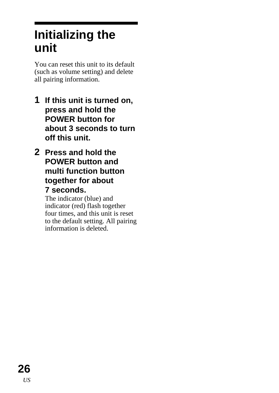## <span id="page-25-0"></span>**Initializing the unit**

You can reset this unit to its default (such as volume setting) and delete all pairing information.

- **1 If this unit is turned on, press and hold the POWER button for about 3 seconds to turn off this unit.**
- **2 Press and hold the POWER button and multi function button together for about 7 seconds.**

The indicator (blue) and indicator (red) flash together four times, and this unit is reset to the default setting. All pairing information is deleted.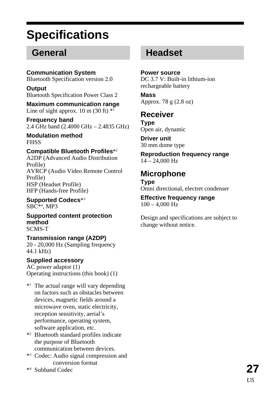## <span id="page-26-0"></span>**Specifications**

### **General**

**Communication System** Bluetooth Specification version 2.0

**Output** Bluetooth Specification Power Class 2

**Maximum communication range** Line of sight approx.  $10 \text{ m} (30 \text{ ft})$  \*1

**Frequency band** 2.4 GHz band (2.4000 GHz – 2.4835 GHz)

**Modulation method** FHSS

#### **Compatible Bluetooth Profiles**\*2

A2DP (Advanced Audio Distribution Profile) AVRCP (Audio Video Remote Control Profile) HSP (Headset Profile) HFP (Hands-free Profile)

**Supported Codecs**\*3 SBC\*4 , MP3

**Supported content protection method** SCMS-T

**Transmission range (A2DP)** 20 - 20,000 Hz (Sampling frequency 44.1 kHz)

#### **Supplied accessory**

AC power adaptor (1) Operating instructions (this book) (1)

- \*1 The actual range will vary depending on factors such as obstacles between devices, magnetic fields around a microwave oven, static electricity, reception sensitivity, aerial's performance, operating system, software application, etc.
- \*2 Bluetooth standard profiles indicate the purpose of Bluetooth communication between devices.
- \*3 Codec: Audio signal compression and conversion format
- \*4 Subband Codec

### **Headset**

**Power source** DC 3.7 V: Built-in lithium-ion rechargeable battery

**Mass** Approx. 78 g (2.8 oz)

#### **Receiver**

**Type** Open air, dynamic

**Driver unit** 30 mm dome type

**Reproduction frequency range** 14 – 24,000 Hz

#### **Microphone**

**Type** Omni directional, electret condenser

**Effective frequency range** 100 – 4,000 Hz

Design and specifications are subject to change without notice.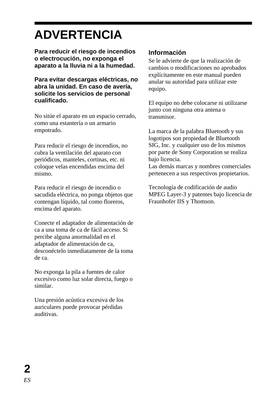## **ADVERTENCIA**

**Para reducir el riesgo de incendios o electrocución, no exponga el aparato a la lluvia ni a la humedad.**

**Para evitar descargas eléctricas, no abra la unidad. En caso de avería, solicite los servicios de personal cualificado.**

No sitúe el aparato en un espacio cerrado, como una estantería o un armario empotrado.

Para reducir el riesgo de incendios, no cubra la ventilación del aparato con periódicos, manteles, cortinas, etc. ni coloque velas encendidas encima del mismo.

Para reducir el riesgo de incendio o sacudida eléctrica, no ponga objetos que contengan líquido, tal como floreros, encima del aparato.

Conecte el adaptador de alimentación de ca a una toma de ca de fácil acceso. Si percibe alguna anormalidad en el adaptador de alimentación de ca, desconéctelo inmediatamente de la toma de ca.

No exponga la pila a fuentes de calor excesivo como luz solar directa, fuego o similar.

Una presión acústica excesiva de los auriculares puede provocar pérdidas auditivas.

#### **Información**

Se le advierte de que la realización de cambios o modificaciones no aprobados explícitamente en este manual pueden anular su autoridad para utilizar este equipo.

El equipo no debe colocarse ni utilizarse junto con ninguna otra antena o transmisor.

La marca de la palabra Bluetooth y sus logotipos son propiedad de Bluetooth SIG, Inc. y cualquier uso de los mismos por parte de Sony Corporation se realiza bajo licencia.

Las demás marcas y nombres comerciales pertenecen a sus respectivos propietarios.

Tecnología de codificación de audio MPEG Layer-3 y patentes bajo licencia de Fraunhofer IIS y Thomson.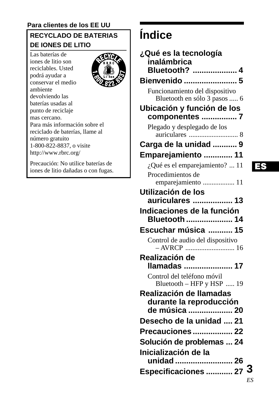#### **Para clientes de los EE UU**

### **RECYCLADO DE BATERIAS DE IONES DE LITIO**

ብገብ

Las baterías de iones de litio son reciclables. Usted podrá ayudar a conservar el medio ambiente devolviendo las baterías usadas al punto de reciclaje mas cercano. Para más información sobre el reciclado de baterías, llame al número gratuito 1-800-822-8837, o visite http://www.rbrc.org/

Precaución: No utilice baterías de iones de litio dañadas o con fugas.

## **Índice**

| ¿Qué es la tecnología<br>inalámbrica<br>Bluetooth?  4               |  |
|---------------------------------------------------------------------|--|
| Bienvenido  5                                                       |  |
| Funcionamiento del dispositivo<br>Bluetooth en sólo 3 pasos  6      |  |
| Ubicación y función de los                                          |  |
| componentes  7                                                      |  |
| Plegado y desplegado de los                                         |  |
| Carga de la unidad  9                                               |  |
| Emparejamiento  11                                                  |  |
| ¿Qué es el emparejamiento?  11                                      |  |
| Procedimientos de                                                   |  |
| emparejamiento  11                                                  |  |
| Utilización de los                                                  |  |
| auriculares  13                                                     |  |
| Indicaciones de la función<br>Bluetooth  14                         |  |
| Escuchar música  15                                                 |  |
| Control de audio del dispositivo                                    |  |
| Realización de<br>Ilamadas  17                                      |  |
| Control del teléfono móvil<br>Bluetooth - HFP y HSP  19             |  |
| Realización de llamadas<br>durante la reproducción<br>de música  20 |  |
| Desecho de la unidad  21                                            |  |
| <b>Precauciones  22</b>                                             |  |
| Solución de problemas  24                                           |  |
| Inicialización de la<br>unidad  26                                  |  |
|                                                                     |  |
| Especificaciones  27 3                                              |  |

#### ES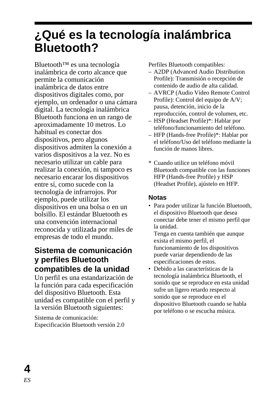## <span id="page-29-0"></span>**¿Qué es la tecnología inalámbrica Bluetooth?**

Bluetooth™ es una tecnología inalámbrica de corto alcance que permite la comunicación inalámbrica de datos entre dispositivos digitales como, por ejemplo, un ordenador o una cámara digital. La tecnología inalámbrica Bluetooth funciona en un rango de aproximadamente 10 metros. Lo habitual es conectar dos dispositivos, pero algunos dispositivos admiten la conexión a varios dispositivos a la vez. No es necesario utilizar un cable para realizar la conexión, ni tampoco es necesario encarar los dispositivos entre sí, como sucede con la tecnología de infrarrojos. Por ejemplo, puede utilizar los dispositivos en una bolsa o en un bolsillo. El estándar Bluetooth es una convención internacional reconocida y utilizada por miles de empresas de todo el mundo.

#### **Sistema de comunicación y perfiles Bluetooth compatibles de la unidad**

Un perfil es una estandarización de la función para cada especificación del dispositivo Bluetooth. Esta unidad es compatible con el perfil y la versión Bluetooth siguientes:

Sistema de comunicación: Especificación Bluetooth versión 2.0 Perfiles Bluetooth compatibles:

- A2DP (Advanced Audio Distribution Profile): Transmisión o recepción de contenido de audio de alta calidad.
- AVRCP (Audio Video Remote Control Profile): Control del equipo de A/V; pausa, detención, inicio de la reproducción, control de volumen, etc.
- HSP (Headset Profile)\*: Hablar por teléfono/funcionamiento del teléfono.
- HFP (Hands-free Profile)\*: Hablar por el teléfono/Uso del teléfono mediante la función de manos libres.
- \* Cuando utilice un teléfono móvil Bluetooth compatible con las funciones HFP (Hands-free Profile) y HSP (Headset Profile), ajústelo en HFP.

#### **Notas**

• Para poder utilizar la función Bluetooth, el dispositivo Bluetooth que desea conectar debe tener el mismo perfil que la unidad.

Tenga en cuenta también que aunque exista el mismo perfil, el funcionamiento de los dispositivos puede variar dependiendo de las especificaciones de estos.

• Debido a las características de la tecnología inalámbrica Bluetooth, el sonido que se reproduce en esta unidad sufre un ligero retardo respecto al sonido que se reproduce en el dispositivo Bluetooth cuando se habla por teléfono o se escucha música.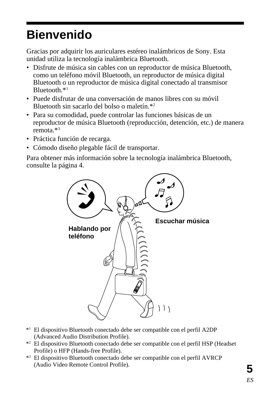## <span id="page-30-0"></span>**Bienvenido**

Gracias por adquirir los auriculares estéreo inalámbricos de Sony. Esta unidad utiliza la tecnología inalámbrica Bluetooth.

- Disfrute de música sin cables con un reproductor de música Bluetooth, como un teléfono móvil Bluetooth, un reproductor de música digital Bluetooth o un reproductor de música digital conectado al transmisor Bluetooth.\*1
- Puede disfrutar de una conversación de manos libres con su móvil Bluetooth sin sacarlo del bolso o maletín.\*2
- Para su comodidad, puede controlar las funciones básicas de un reproductor de música Bluetooth (reproducción, detención, etc.) de manera remota.\*3
- Práctica función de recarga.
- Cómodo diseño plegable fácil de transportar.

Para obtener más información sobre la tecnología inalámbrica Bluetooth, consulte la página 4.



- \*1 El dispositivo Bluetooth conectado debe ser compatible con el perfil A2DP (Advanced Audio Distribution Profile).
- \*2 El dispositivo Bluetooth conectado debe ser compatible con el perfil HSP (Headset Profile) o HFP (Hands-free Profile).
- \*3 El dispositivo Bluetooth conectado debe ser compatible con el perfil AVRCP (Audio Video Remote Control Profile).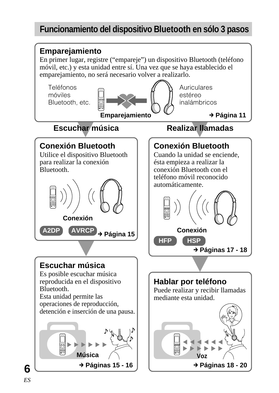### **Funcionamiento del dispositivo Bluetooth en sólo 3 pasos**

<span id="page-31-0"></span>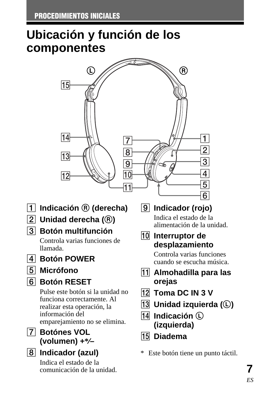## <span id="page-32-0"></span>**Ubicación y función de los componentes**



- 1 **Indicación** R **(derecha)**
- 2 **Unidad derecha (**R**)**
- 3 **Botón multifunción**

Controla varias funciones de llamada.

- 4 **Botón POWER**
- 5 **Micrófono**
- 6 **Botón RESET**

Pulse este botón si la unidad no funciona correctamente. Al realizar esta operación, la información del emparejamiento no se elimina.

- 7 **Botónes VOL (volumen) +\*⁄–**
- 8 **Indicador (azul)**

Indica el estado de la comunicación de la unidad. 9 **Indicador (rojo)**

Indica el estado de la alimentación de la unidad.

0 **Interruptor de desplazamiento**

> Controla varias funciones cuando se escucha música.

- qa **Almohadilla para las orejas**
- qs **Toma DC IN 3 V**
- **13** Unidad izquierda (**C**)
- **14** Indicación  $\Omega$ **(izquierda)**
- qg **Diadema**

\* Este botón tiene un punto táctil.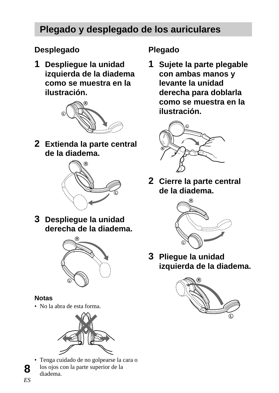### <span id="page-33-0"></span>**Plegado y desplegado de los auriculares**

### **Desplegado**

**1 Despliegue la unidad izquierda de la diadema como se muestra en la ilustración.**



**2 Extienda la parte central de la diadema.**



**3 Despliegue la unidad derecha de la diadema.**



#### **Notas**

• No la abra de esta forma.



• Tenga cuidado de no golpearse la cara o los ojos con la parte superior de la diadema.

### **Plegado**

**1 Sujete la parte plegable con ambas manos y levante la unidad derecha para doblarla como se muestra en la ilustración.**



**2 Cierre la parte central de la diadema.**



**3 Pliegue la unidad izquierda de la diadema.**

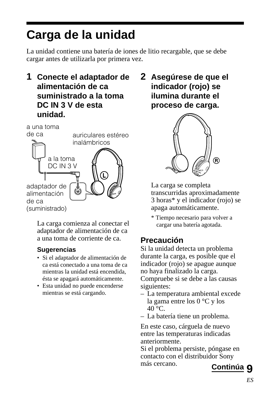## <span id="page-34-0"></span>**Carga de la unidad**

La unidad contiene una batería de iones de litio recargable, que se debe cargar antes de utilizarla por primera vez.

**1 Conecte el adaptador de alimentación de ca suministrado a la toma DC IN 3 V de esta unidad.**



La carga comienza al conectar el adaptador de alimentación de ca a una toma de corriente de ca.

#### **Sugerencias**

- Si el adaptador de alimentación de ca está conectado a una toma de ca mientras la unidad está encendida, ésta se apagará automáticamente.
- Esta unidad no puede encenderse mientras se está cargando.

**2 Asegúrese de que el indicador (rojo) se ilumina durante el proceso de carga.**



La carga se completa transcurridas aproximadamente 3 horas\* y el indicador (rojo) se apaga automáticamente.

\* Tiempo necesario para volver a cargar una batería agotada.

### **Precaución**

Si la unidad detecta un problema durante la carga, es posible que el indicador (rojo) se apague aunque no haya finalizado la carga. Compruebe si se debe a las causas siguientes:

- La temperatura ambiental excede la gama entre los 0 °C y los  $40 °C$ .
- La batería tiene un problema.

En este caso, cárguela de nuevo entre las temperaturas indicadas anteriormente.

Si el problema persiste, póngase en contacto con el distribuidor Sony más cercano.

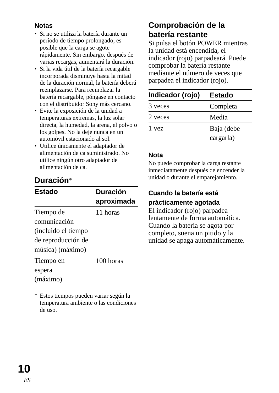#### **Notas**

- Si no se utiliza la batería durante un período de tiempo prolongado, es posible que la carga se agote rápidamente. Sin embargo, después de varias recargas, aumentará la duración.
- Si la vida útil de la batería recargable incorporada disminuye hasta la mitad de la duración normal, la batería deberá reemplazarse. Para reemplazar la batería recargable, póngase en contacto con el distribuidor Sony más cercano.
- Evite la exposición de la unidad a temperaturas extremas, la luz solar directa, la humedad, la arena, el polvo o los golpes. No la deje nunca en un automóvil estacionado al sol.
- Utilice únicamente el adaptador de alimentación de ca suministrado. No utilice ningún otro adaptador de alimentación de ca.

### **Duración**\*

| <b>Estado</b>       | <b>Duración</b><br>aproximada |
|---------------------|-------------------------------|
| Tiempo de           | 11 horas                      |
| comunicación        |                               |
| (incluido el tiempo |                               |
| de reproducción de  |                               |
| música) (máximo)    |                               |
| Tiempo en           | 100 horas                     |
| espera              |                               |
| (máximo)            |                               |

\* Estos tiempos pueden variar según la temperatura ambiente o las condiciones de uso.

### **Comprobación de la batería restante**

Si pulsa el botón POWER mientras la unidad está encendida, el indicador (rojo) parpadeará. Puede comprobar la batería restante mediante el número de veces que parpadea el indicador (rojo).

| Indicador (rojo) | Estado     |
|------------------|------------|
| 3 veces          | Completa   |
| 2 veces          | Media      |
| 1 yez            | Baja (debe |
|                  | cargarla)  |

#### **Nota**

No puede comprobar la carga restante inmediatamente después de encender la unidad o durante el emparejamiento.

#### **Cuando la batería está prácticamente agotada**

El indicador (rojo) parpadea lentamente de forma automática. Cuando la batería se agota por completo, suena un pitido y la unidad se apaga automáticamente.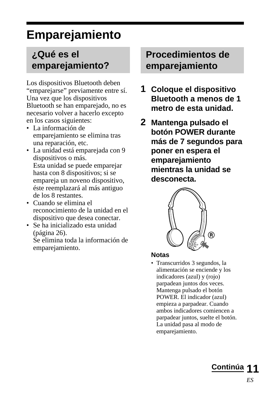## <span id="page-36-0"></span>**Emparejamiento**

### **¿Qué es el emparejamiento?**

Los dispositivos Bluetooth deben "emparejarse" previamente entre sí. Una vez que los dispositivos Bluetooth se han emparejado, no es necesario volver a hacerlo excepto en los casos siguientes:

- La información de emparejamiento se elimina tras una reparación, etc.
- La unidad está emparejada con 9 dispositivos o más. Esta unidad se puede emparejar hasta con 8 dispositivos; si se empareja un noveno dispositivo, éste reemplazará al más antiguo de los 8 restantes.
- Cuando se elimina el reconocimiento de la unidad en el dispositivo que desea conectar.
- Se ha inicializado esta unidad (página 26).

Se elimina toda la información de emparejamiento.

### **Procedimientos de emparejamiento**

- **1 Coloque el dispositivo Bluetooth a menos de 1 metro de esta unidad.**
- **2 Mantenga pulsado el botón POWER durante más de 7 segundos para poner en espera el emparejamiento mientras la unidad se desconecta.**



#### **Notas**

• Transcurridos 3 segundos, la alimentación se enciende y los indicadores (azul) y (rojo) parpadean juntos dos veces. Mantenga pulsado el botón POWER. El indicador (azul) empieza a parpadear. Cuando ambos indicadores comiencen a parpadear juntos, suelte el botón. La unidad pasa al modo de emparejamiento.

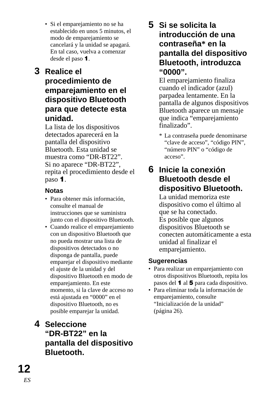• Si el emparejamiento no se ha establecido en unos 5 minutos, el modo de emparejamiento se cancelará y la unidad se apagará. En tal caso, vuelva a comenzar desde el paso 1.

### **3 Realice el procedimiento de emparejamiento en el dispositivo Bluetooth para que detecte esta unidad.**

La lista de los dispositivos detectados aparecerá en la pantalla del dispositivo Bluetooth. Esta unidad se muestra como "DR-BT22". Si no aparece "DR-BT22", repita el procedimiento desde el paso 1.

#### **Notas**

- Para obtener más información, consulte el manual de instrucciones que se suministra junto con el dispositivo Bluetooth.
- Cuando realice el emparejamiento con un dispositivo Bluetooth que no pueda mostrar una lista de dispositivos detectados o no disponga de pantalla, puede emparejar el dispositivo mediante el ajuste de la unidad y del dispositivo Bluetooth en modo de emparejamiento. En este momento, si la clave de acceso no está ajustada en "0000" en el dispositivo Bluetooth, no es posible emparejar la unidad.

### **4 Seleccione "DR-BT22" en la pantalla del dispositivo Bluetooth.**

### **5 Si se solicita la introducción de una contraseña\* en la pantalla del dispositivo Bluetooth, introduzca "0000".**

El emparejamiento finaliza cuando el indicador (azul) parpadea lentamente. En la pantalla de algunos dispositivos Bluetooth aparece un mensaje que indica "emparejamiento finalizado".

\* La contraseña puede denominarse "clave de acceso", "código PIN", "número PIN" o "código de acceso".

#### **6 Inicie la conexión Bluetooth desde el dispositivo Bluetooth.**

La unidad memoriza este dispositivo como el último al que se ha conectado. Es posible que algunos dispositivos Bluetooth se conecten automáticamente a esta unidad al finalizar el emparejamiento.

#### **Sugerencias**

- Para realizar un emparejamiento con otros dispositivos Bluetooth, repita los pasos del 1 al 5 para cada dispositivo.
- Para eliminar toda la información de emparejamiento, consulte "Inicialización de la unidad" (página 26).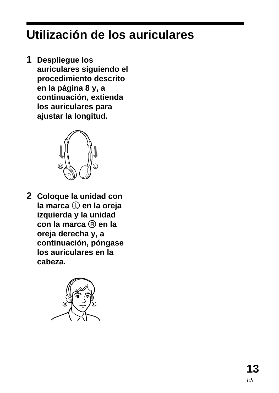## <span id="page-38-0"></span>**Utilización de los auriculares**

**1 Despliegue los auriculares siguiendo el procedimiento descrito en la página 8 y, a continuación, extienda los auriculares para ajustar la longitud.**



**2 Coloque la unidad con la marca** L **en la oreja izquierda y la unidad con la marca** R **en la oreja derecha y, a continuación, póngase los auriculares en la cabeza.**

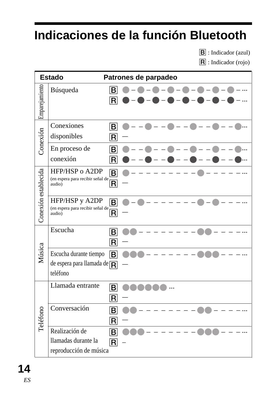## <span id="page-39-0"></span>**Indicaciones de la función Bluetooth**

B : Indicador (azul)

R : Indicador (rojo)

| Estado               |                                                                   | Patrones de parpadeo                               |
|----------------------|-------------------------------------------------------------------|----------------------------------------------------|
| Emparejamiento       | Búsqueda                                                          | B<br>R                                             |
| Conexión             | Conexiones<br>disponibles                                         | $\boxed{\mathsf{B}}$<br>R                          |
|                      | En proceso de<br>conexión                                         | в<br>R                                             |
| Conexión establecida | HFP/HSP o A2DP<br>(en espera para recibir señal de<br>audio)      | $\overline{\mathsf{B}}$<br>$\overline{\mathsf{R}}$ |
|                      | HFP/HSP y A2DP<br>(en espera para recibir señal de<br>audio)      | $\overline{\mathsf{B}}$<br>R                       |
| Música               | Escucha                                                           | ΙBΙ<br>$\boxed{\mathsf{R}}$                        |
|                      | Escucha durante tiempo<br>de espera para llamada de R<br>teléfono | B                                                  |
| Teléfono             | Llamada entrante                                                  | B<br>R                                             |
|                      | Conversación                                                      | B<br>R                                             |
|                      | Realización de<br>llamadas durante la<br>reproducción de música   | $\overline{\mathbf{B}}$<br>$\overline{\mathsf{R}}$ |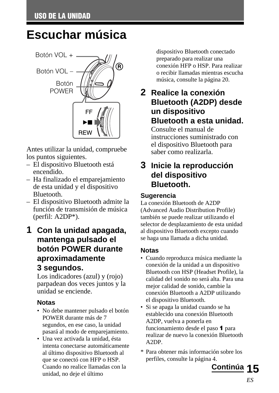## <span id="page-40-0"></span>**Escuchar música**



Antes utilizar la unidad, compruebe los puntos siguientes.

- El dispositivo Bluetooth está encendido.
- Ha finalizado el emparejamiento de esta unidad y el dispositivo Bluetooth.
- El dispositivo Bluetooth admite la función de transmisión de música (perfil: A2DP\*).
- **1 Con la unidad apagada, mantenga pulsado el botón POWER durante aproximadamente 3 segundos.**

Los indicadores (azul) y (rojo) parpadean dos veces juntos y la unidad se enciende.

#### **Notas**

- No debe mantener pulsado el botón POWER durante más de 7 segundos, en ese caso, la unidad pasará al modo de emparejamiento.
- Una vez activada la unidad, ésta intenta conectarse automáticamente al último dispositivo Bluetooth al que se conectó con HFP o HSP. Cuando no realice llamadas con la unidad, no deje el último

dispositivo Bluetooth conectado preparado para realizar una conexión HFP o HSP. Para realizar o recibir llamadas mientras escucha música, consulte la página 20.

### **2 Realice la conexión Bluetooth (A2DP) desde un dispositivo Bluetooth a esta unidad.**

Consulte el manual de instrucciones suministrado con el dispositivo Bluetooth para saber como realizarla.

### **3 Inicie la reproducción del dispositivo Bluetooth.**

#### **Sugerencia**

La conexión Bluetooth de A2DP (Advanced Audio Distribution Profile) también se puede realizar utilizando el selector de desplazamiento de esta unidad al dispositivo Bluetooth excepto cuando se haga una llamada a dicha unidad.

#### **Notas**

- Cuando reproduzca música mediante la conexión de la unidad a un dispositivo Bluetooth con HSP (Headset Profile), la calidad del sonido no será alta. Para una mejor calidad de sonido, cambie la conexión Bluetooth a A2DP utilizando el dispositivo Bluetooth.
- Si se apaga la unidad cuando se ha establecido una conexión Bluetooth A2DP, vuelva a ponerla en funcionamiento desde el paso 1 para realizar de nuevo la conexión Bluetooth A2DP.
- \* Para obtener más información sobre los perfiles, consulte la página 4.

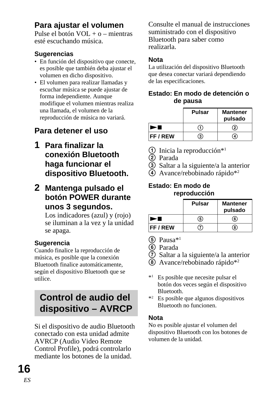### <span id="page-41-0"></span>**Para ajustar el volumen**

Pulse el botón VOL + o – mientras esté escuchando música.

#### **Sugerencias**

- En función del dispositivo que conecte, es posible que también deba ajustar el volumen en dicho dispositivo.
- El volumen para realizar llamadas y escuchar música se puede ajustar de forma independiente. Aunque modifique el volumen mientras realiza una llamada, el volumen de la reproducción de música no variará.

### **Para detener el uso**

- **1 Para finalizar la conexión Bluetooth haga funcionar el dispositivo Bluetooth.**
- **2 Mantenga pulsado el botón POWER durante unos 3 segundos.**

Los indicadores (azul) y (rojo) se iluminan a la vez y la unidad se apaga.

#### **Sugerencia**

Cuando finalice la reproducción de música, es posible que la conexión Bluetooth finalice automáticamente, según el dispositivo Bluetooth que se utilice.

### **Control de audio del dispositivo – AVRCP**

Si el dispositivo de audio Bluetooth conectado con esta unidad admite AVRCP (Audio Video Remote Control Profile), podrá controlarlo mediante los botones de la unidad.

Consulte el manual de instrucciones suministrado con el dispositivo Bluetooth para saber como realizarla.

#### **Nota**

La utilización del dispositivo Bluetooth que desea conectar variará dependiendo de las especificaciones.

#### **Estado: En modo de detención o de pausa**

|                 | Pulsar | <b>Mantener</b><br>pulsado |
|-----------------|--------|----------------------------|
|                 | . 1)   | $\circled{2}$              |
| <b>FF / REW</b> | 3)     | 4)                         |

- $\odot$  Inicia la reproducción\*<sup>1</sup>
- 2 Parada
- 3 Saltar a la siguiente/a la anterior
- 4 Avance/rebobinado rápido\*2

#### **Estado: En modo de reproducción**

|                 | Pulsar | <b>Mantener</b><br>pulsado |
|-----------------|--------|----------------------------|
|                 | (5)    | 6                          |
| <b>FF / REW</b> | 7)     | 8)                         |

- $(5)$  Pausa $*1$
- 6 Parada
- 7 Saltar a la siguiente/a la anterior
- 8 Avance/rebobinado rápido\*2
- \*1 Es posible que necesite pulsar el botón dos veces según el dispositivo Bluetooth.
- \*2 Es posible que algunos dispositivos Bluetooth no funcionen.

#### **Nota**

No es posible ajustar el volumen del dispositivo Bluetooth con los botones de volumen de la unidad.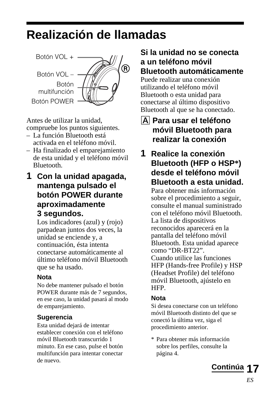## <span id="page-42-0"></span>**Realización de llamadas**



Antes de utilizar la unidad, compruebe los puntos siguientes.

- La función Bluetooth está activada en el teléfono móvil.
- Ha finalizado el emparejamiento de esta unidad y el teléfono móvil Bluetooth.
- **1 Con la unidad apagada, mantenga pulsado el botón POWER durante aproximadamente 3 segundos.**

Los indicadores (azul) y (rojo) parpadean juntos dos veces, la unidad se enciende y, a continuación, ésta intenta conectarse automáticamente al último teléfono móvil Bluetooth que se ha usado.

#### **Nota**

No debe mantener pulsado el botón POWER durante más de 7 segundos, en ese caso, la unidad pasará al modo de emparejamiento.

#### **Sugerencia**

Esta unidad dejará de intentar establecer conexión con el teléfono móvil Bluetooth transcurrido 1 minuto. En ese caso, pulse el botón multifunción para intentar conectar de nuevo.

#### **Si la unidad no se conecta a un teléfono móvil Bluetooth automáticamente**

Puede realizar una conexión utilizando el teléfono móvil Bluetooth o esta unidad para conectarse al último dispositivo Bluetooth al que se ha conectado.

#### A **Para usar el teléfono móvil Bluetooth para realizar la conexión**

**1 Realice la conexión Bluetooth (HFP o HSP\*) desde el teléfono móvil Bluetooth a esta unidad.**

Para obtener más información sobre el procedimiento a seguir, consulte el manual suministrado con el teléfono móvil Bluetooth. La lista de dispositivos reconocidos aparecerá en la pantalla del teléfono móvil Bluetooth. Esta unidad aparece como "DR-BT22". Cuando utilice las funciones HFP (Hands-free Profile) y HSP (Headset Profile) del teléfono móvil Bluetooth, ajústelo en HFP.

#### **Nota**

Si desea conectarse con un teléfono móvil Bluetooth distinto del que se conectó la última vez, siga el procedimiento anterior.

\* Para obtener más información sobre los perfiles, consulte la página 4.

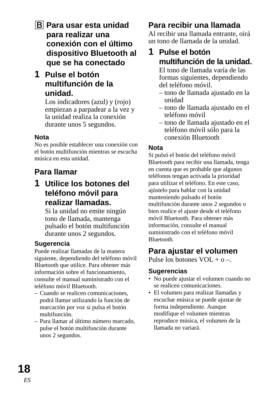- **B** Para usar esta unidad **para realizar una conexión con el último dispositivo Bluetooth al que se ha conectado**
- **1 Pulse el botón multifunción de la unidad.**

Los indicadores (azul) y (rojo) empiezan a parpadear a la vez y la unidad realiza la conexión durante unos 5 segundos.

#### **Nota**

No es posible establecer una conexión con el botón multifunción mientras se escucha música en esta unidad.

### **Para llamar**

**1 Utilice los botones del teléfono móvil para realizar llamadas.**

Si la unidad no emite ningún tono de llamada, mantenga pulsado el botón multifunción durante unos 2 segundos.

#### **Sugerencia**

Puede realizar llamadas de la manera siguiente, dependiendo del teléfono móvil Bluetooth que utilice. Para obtener más información sobre el funcionamiento, consulte el manual suministrado con el teléfono móvil Bluetooth.

- Cuando se realicen comunicaciones, podrá llamar utilizando la función de marcación por voz si pulsa el botón multifunción.
- Para llamar al último número marcado, pulse el botón multifunción durante unos 2 segundos.

### **Para recibir una llamada**

Al recibir una llamada entrante, oirá un tono de llamada de la unidad.

### **1 Pulse el botón multifunción de la unidad.**

El tono de llamada varía de las formas siguientes, dependiendo del teléfono móvil.

- tono de llamada ajustado en la unidad
- tono de llamada ajustado en el teléfono móvil
- tono de llamada ajustado en el teléfono móvil sólo para la conexión Bluetooth

#### **Nota**

Si pulsó el botón del teléfono móvil Bluetooth para recibir una llamada, tenga en cuenta que es probable que algunos teléfonos tengan activada la prioridad para utilizar el teléfono. En este caso, ajústelo para hablar con la unidad manteniendo pulsado el botón multifunción durante unos 2 segundos o bien realice el ajuste desde el teléfono móvil Bluetooth. Para obtener más información, consulte el manual suministrado con el teléfono móvil Bluetooth.

### **Para ajustar el volumen**

Pulse los botones  $VOL + 0 -$ 

#### **Sugerencias**

- No puede ajustar el volumen cuando no se realicen comunicaciones.
- El volumen para realizar llamadas y escuchar música se puede ajustar de forma independiente. Aunque modifique el volumen mientras reproduce música, el volumen de la llamada no variará.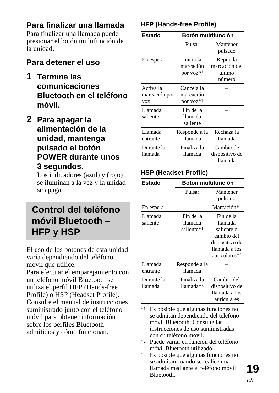### <span id="page-44-0"></span>**Para finalizar una llamada**

Para finalizar una llamada puede presionar el botón multifunción de la unidad.

#### **Para detener el uso**

- **1 Termine las comunicaciones Bluetooth en el teléfono móvil.**
- **2 Para apagar la alimentación de la unidad, mantenga pulsado el botón POWER durante unos 3 segundos.**

Los indicadores (azul) y (rojo) se iluminan a la vez y la unidad se apaga.

### **Control del teléfono móvil Bluetooth – HFP y HSP**

El uso de los botones de esta unidad varía dependiendo del teléfono móvil que utilice.

Para efectuar el emparejamiento con un teléfono móvil Bluetooth se utiliza el perfil HFP (Hands-free Profile) o HSP (Headset Profile). Consulte el manual de instrucciones suministrado junto con el teléfono móvil para obtener información sobre los perfiles Bluetooth admitidos y cómo funcionan.

#### **HFP (Hands-free Profile)**

| Estado                            | Botón multifunción                   |                                                |
|-----------------------------------|--------------------------------------|------------------------------------------------|
|                                   | Pulsar                               | Mantener<br>pulsado                            |
| En espera                         | Inicia la<br>marcación<br>por voz*1  | Repite la<br>marcación del<br>último<br>número |
| Activa la<br>marcación por<br>voz | Cancela la<br>marcación<br>por voz*1 |                                                |
| Llamada<br>saliente               | Fin de la<br>llamada<br>saliente     |                                                |
| Llamada<br>entrante               | Responde a la<br>llamada             | Rechaza la<br>llamada                          |
| Durante la<br>llamada             | Finaliza la<br>llamada               | Cambio de<br>dispositivo de<br>llamada         |

#### **HSP (Headset Profile)**

| Estado                | Botón multifunción                 |                                                                                                      |
|-----------------------|------------------------------------|------------------------------------------------------------------------------------------------------|
|                       | Pulsar                             | Mantener<br>pulsado                                                                                  |
| En espera             |                                    | Marcación*1                                                                                          |
| Llamada<br>saliente   | Fin de la<br>llamada<br>saliente*1 | Fin de la<br>llamada<br>saliente o<br>cambio del<br>dispositivo de<br>llamada a los<br>auriculares*2 |
| Llamada<br>entrante   | Responde a la<br>llamada           |                                                                                                      |
| Durante la<br>llamada | Finaliza la<br>llamada*3           | Cambio del<br>dispositivo de<br>llamada a los<br>auriculares                                         |

\*1 Es posible que algunas funciones no se admitan dependiendo del teléfono móvil Bluetooth. Consulte las instrucciones de uso suministradas con su teléfono móvil.

- \*2 Puede variar en función del teléfono móvil Bluetooth utilizado.
- \*3 Es posible que algunas funciones no se admitan cuando se realice una llamada mediante el teléfono móvil Bluetooth.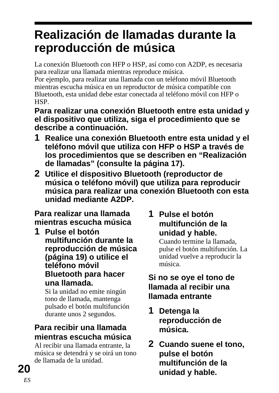## <span id="page-45-0"></span>**Realización de llamadas durante la reproducción de música**

La conexión Bluetooth con HFP o HSP, así como con A2DP, es necesaria para realizar una llamada mientras reproduce música.

Por ejemplo, para realizar una llamada con un teléfono móvil Bluetooth mientras escucha música en un reproductor de música compatible con Bluetooth, esta unidad debe estar conectada al teléfono móvil con HFP o HSP.

**Para realizar una conexión Bluetooth entre esta unidad y el dispositivo que utiliza, siga el procedimiento que se describe a continuación.**

- **1 Realice una conexión Bluetooth entre esta unidad y el teléfono móvil que utiliza con HFP o HSP a través de los procedimientos que se describen en "Realización de llamadas" (consulte la página 17).**
- **2 Utilice el dispositivo Bluetooth (reproductor de música o teléfono móvil) que utiliza para reproducir música para realizar una conexión Bluetooth con esta unidad mediante A2DP.**

**Para realizar una llamada mientras escucha música**

**1 Pulse el botón multifunción durante la reproducción de música (página 19) o utilice el teléfono móvil Bluetooth para hacer una llamada.**

Si la unidad no emite ningún tono de llamada, mantenga pulsado el botón multifunción durante unos 2 segundos.

### **Para recibir una llamada mientras escucha música**

Al recibir una llamada entrante, la música se detendrá y se oirá un tono de llamada de la unidad.

### **1 Pulse el botón multifunción de la unidad y hable.**

Cuando termine la llamada, pulse el botón multifunción. La unidad vuelve a reproducir la música.

### **Si no se oye el tono de llamada al recibir una llamada entrante**

- **1 Detenga la reproducción de música.**
- **2 Cuando suene el tono, pulse el botón multifunción de la unidad y hable.**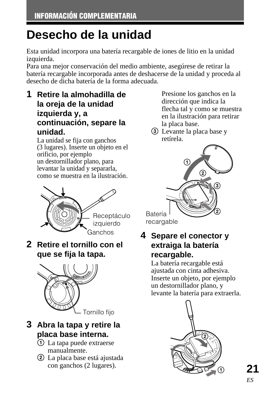## <span id="page-46-0"></span>**Desecho de la unidad**

Esta unidad incorpora una batería recargable de iones de litio en la unidad izquierda.

Para una mejor conservación del medio ambiente, asegúrese de retirar la batería recargable incorporada antes de deshacerse de la unidad y proceda al desecho de dicha batería de la forma adecuada.

**1 Retire la almohadilla de la oreja de la unidad izquierda y, a continuación, separe la unidad.**

La unidad se fija con ganchos (3 lugares). Inserte un objeto en el orificio, por ejemplo un destornillador plano, para levantar la unidad y separarla, como se muestra en la ilustración.



**2 Retire el tornillo con el que se fija la tapa.**



### **3 Abra la tapa y retire la placa base interna.**

- 1 La tapa puede extraerse manualmente.
- 2 La placa base está ajustada con ganchos (2 lugares).

Presione los ganchos en la dirección que indica la flecha tal y como se muestra en la ilustración para retirar la placa base.

3 Levante la placa base y retírela.



### **4 Separe el conector y extraiga la batería recargable.**

La batería recargable está ajustada con cinta adhesiva. Inserte un objeto, por ejemplo un destornillador plano, y levante la batería para extraerla.



**21**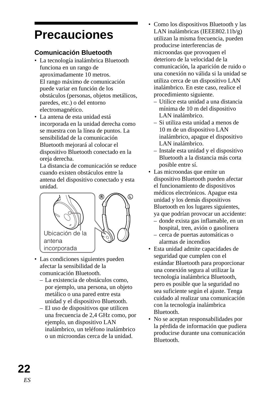## <span id="page-47-0"></span>**Precauciones**

#### **Comunicación Bluetooth**

- La tecnología inalámbrica Bluetooth funciona en un rango de aproximadamente 10 metros. El rango máximo de comunicación puede variar en función de los obstáculos (personas, objetos metálicos, paredes, etc.) o del entorno electromagnético.
- La antena de esta unidad está incorporada en la unidad derecha como se muestra con la línea de puntos. La sensibilidad de la comunicación Bluetooth mejorará al colocar el dispositivo Bluetooth conectado en la oreja derecha.

La distancia de comunicación se reduce cuando existen obstáculos entre la antena del dispositivo conectado y esta unidad.



- Las condiciones siguientes pueden afectar la sensibilidad de la comunicación Bluetooth.
	- La existencia de obstáculos como, por ejemplo, una persona, un objeto metálico o una pared entre esta unidad y el dispositivo Bluetooth.
	- El uso de dispositivos que utilicen una frecuencia de 2,4 GHz como, por ejemplo, un dispositivo LAN inalámbrico, un teléfono inalámbrico o un microondas cerca de la unidad.
- Como los dispositivos Bluetooth y las LAN inalámbricas (IEEE802.11b/g) utilizan la misma frecuencia, pueden producirse interferencias de microondas que provoquen el deterioro de la velocidad de la comunicación, la aparición de ruido o una conexión no válida si la unidad se utiliza cerca de un dispositivo LAN inalámbrico. En este caso, realice el procedimiento siguiente.
- Utilice esta unidad a una distancia mínima de 10 m del dispositivo LAN inalámbrico.
- Si utiliza esta unidad a menos de 10 m de un dispositivo LAN inalámbrico, apague el dispositivo LAN inalámbrico.
- Instale esta unidad y el dispositivo Bluetooth a la distancia más corta posible entre sí.
- Las microondas que emite un dispositivo Bluetooth pueden afectar el funcionamiento de dispositivos médicos electrónicos. Apague esta unidad y los demás dispositivos Bluetooth en los lugares siguientes,
	- ya que podrían provocar un accidente: – donde exista gas inflamable, en un
	- hospital, tren, avión o gasolinera – cerca de puertas automáticas o
	- alarmas de incendios
- Esta unidad admite capacidades de seguridad que cumplen con el estándar Bluetooth para proporcionar una conexión segura al utilizar la tecnología inalámbrica Bluetooth, pero es posible que la seguridad no sea suficiente según el ajuste. Tenga cuidado al realizar una comunicación con la tecnología inalámbrica Bluetooth.
- No se aceptan responsabilidades por la pérdida de información que pudiera producirse durante una comunicación Bluetooth.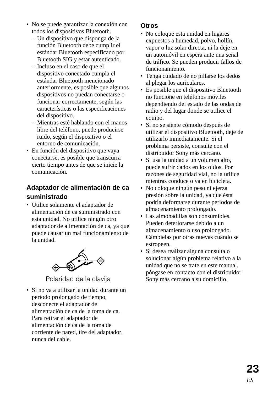- No se puede garantizar la conexión con todos los dispositivos Bluetooth.
	- Un dispositivo que disponga de la función Bluetooth debe cumplir el estándar Bluetooth especificado por Bluetooth SIG y estar autenticado.
	- Incluso en el caso de que el dispositivo conectado cumpla el estándar Bluetooth mencionado anteriormente, es posible que algunos dispositivos no puedan conectarse o funcionar correctamente, según las características o las especificaciones del dispositivo.
	- Mientras esté hablando con el manos libre del teléfono, puede producirse ruido, según el dispositivo o el entorno de comunicación.
- En función del dispositivo que vaya conectarse, es posible que transcurra cierto tiempo antes de que se inicie la comunicación.

#### **Adaptador de alimentación de ca**

#### **suministrado**

• Utilice solamente el adaptador de alimentación de ca suministrado con esta unidad. No utilice ningún otro adaptador de alimentación de ca, ya que puede causar un mal funcionamiento de la unidad.



Polaridad de la clavija

• Si no va a utilizar la unidad durante un período prolongado de tiempo, desconecte el adaptador de alimentación de ca de la toma de ca. Para retirar el adaptador de alimentación de ca de la toma de corriente de pared, tire del adaptador, nunca del cable.

#### **Otros**

- No coloque esta unidad en lugares expuestos a humedad, polvo, hollín, vapor o luz solar directa, ni la deje en un automóvil en espera ante una señal de tráfico. Se pueden producir fallos de funcionamiento.
- Tenga cuidado de no pillarse los dedos al plegar los auriculares.
- Es posible que el dispositivo Bluetooth no funcione en teléfonos móviles dependiendo del estado de las ondas de radio y del lugar donde se utilice el equipo.
- Si no se siente cómodo después de utilizar el dispositivo Bluetooth, deje de utilizarlo inmediatamente. Si el problema persiste, consulte con el distribuidor Sony más cercano.
- Si usa la unidad a un volumen alto, puede sufrir daños en los oídos. Por razones de seguridad vial, no la utilice mientras conduce o va en bicicleta.
- No coloque ningún peso ni ejerza presión sobre la unidad, ya que ésta podría deformarse durante períodos de almacenamiento prolongado.
- Las almohadillas son consumibles. Pueden deteriorarse debido a un almacenamiento o uso prolongado. Cámbielas por otras nuevas cuando se estropeen.
- Si desea realizar alguna consulta o solucionar algún problema relativo a la unidad que no se trate en este manual, póngase en contacto con el distribuidor Sony más cercano a su domicilio.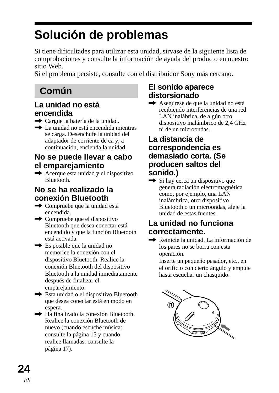## <span id="page-49-0"></span>**Solución de problemas**

Si tiene dificultades para utilizar esta unidad, sírvase de la siguiente lista de comprobaciones y consulte la información de ayuda del producto en nuestro sitio Web.

Si el problema persiste, consulte con el distribuidor Sony más cercano.

### **Común**

### **La unidad no está encendida**

- **→** Cargue la batería de la unidad.
- $\rightarrow$  La unidad no está encendida mientras se carga. Desenchufe la unidad del adaptador de corriente de ca y, a continuación, encienda la unidad.

### **No se puede llevar a cabo el emparejamiento**

 $\rightarrow$  Acerque esta unidad y el dispositivo **Bluetooth** 

### **No se ha realizado la conexión Bluetooth**

- $\rightarrow$  Compruebe que la unidad está encendida.
- $\rightarrow$  Compruebe que el dispositivo Bluetooth que desea conectar está encendido y que la función Bluetooth está activada.
- $\rightarrow$  Es posible que la unidad no memorice la conexión con el dispositivo Bluetooth. Realice la conexión Bluetooth del dispositivo Bluetooth a la unidad inmediatamente después de finalizar el emparejamiento.
- $\rightarrow$  Esta unidad o el dispositivo Bluetooth que desea conectar está en modo en espera.
- $\rightarrow$  Ha finalizado la conexión Bluetooth. Realice la conexión Bluetooth de nuevo (cuando escuche música: consulte la página 15 y cuando realice llamadas: consulte la página 17).

### **El sonido aparece distorsionado**

**→** Asegúrese de que la unidad no está recibiendo interferencias de una red LAN inalábrica, de algún otro dispositivo inalámbrico de 2,4 GHz ni de un microondas.

#### **La distancia de correspondencia es demasiado corta. (Se producen saltos del sonido.)**

 $\rightarrow$  Si hay cerca un dispositivo que genera radiación electromagnética como, por ejemplo, una LAN inalámbrica, otro dispositivo Bluetooth o un microondas, aleje la unidad de estas fuentes.

#### **La unidad no funciona correctamente.**

Reinicie la unidad. La información de los pares no se borra con esta operación.

Inserte un pequeño pasador, etc., en el orificio con cierto ángulo y empuje hasta escuchar un chasquido.

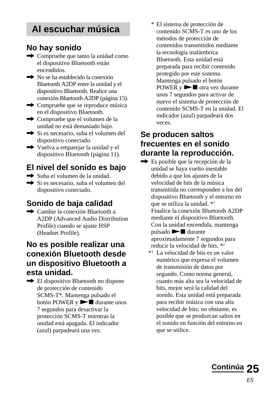### **Al escuchar música**

#### **No hay sonido**

- $\rightarrow$  Compruebe que tanto la unidad como el dispositivo Bluetooth están encendidos.
- $\rightarrow$  No se ha establecido la conexión Bluetooth A2DP entre la unidad y el dispositivo Bluetooth. Realice una conexión Bluetooth A2DP (página 15).
- $\rightarrow$  Compruebe que se reproduce música en el dispositivo Bluetooth.
- **→** Compruebe que el volumen de la unidad no está demasiado bajo.
- **→** Si es necesario, suba el volumen del dispositivo conectado.
- **→** Vuelva a emparejar la unidad y el dispositivo Bluetooth (página 11).

### **El nivel del sonido es bajo**

- $\rightarrow$  Suba el volumen de la unidad.
- **→** Si es necesario, suba el volumen del dispositivo conectado.

### **Sonido de baja calidad**

 $\rightarrow$  Cambie la conexión Bluetooth a A2DP (Advanced Audio Distribution Profile) cuando se ajuste HSP (Headset Profile).

#### **No es posible realizar una conexión Bluetooth desde un dispositivo Bluetooth a esta unidad.**

- $\rightarrow$  El dispositivo Bluetooth no dispone de protección de contenido SCMS-T\*. Mantenga pulsado el botón POWER y  $\blacktriangleright$   $\blacksquare$  durante unos 7 segundos para desactivar la protección SCMS-T mientras la unidad está apagada. El indicador
	- (azul) parpadeará una vez.

\* El sistema de protección de contenido SCMS-T es uno de los métodos de protección de contenidos transmitidos mediante la tecnología inalámbrica Bluetooth. Esta unidad está preparada para recibir contenido protegido por este sistema. Mantenga pulsado el botón  $POWER y \rightarrow a$  otra vez durante unos 7 segundos para activar de nuevo el sistema de protección de contenido SCMS-T en la unidad. El indicador (azul) parpadeará dos veces.

### **Se producen saltos frecuentes en el sonido durante la reproducción.**

- **→** Es posible que la recepción de la unidad se haya vuelto inestable debido a que los ajustes de la velocidad de bits de la música transmitida no corresponden a los del dispositivo Bluetooth y el entorno en que se utiliza la unidad. \*1 Finalice la conexión Bluetooth A2DP mediante el dispositivo Bluetooth. Con la unidad encendida, mantenga pulsado  $\blacktriangleright$   $\blacksquare$  durante aproximadamente 7 segundos para reducir la velocidad de bits. \*2
	- \*1 La velocidad de bits es un valor numérico que expresa el volumen de transmisión de datos por segundo. Como norma general, cuanto más alta sea la velocidad de bits, mejor será la calidad del sonido. Esta unidad está preparada para recibir música con una alta velocidad de bits; no obstante, es posible que se produzcan saltos en el sonido en función del entorno en que se utilice.

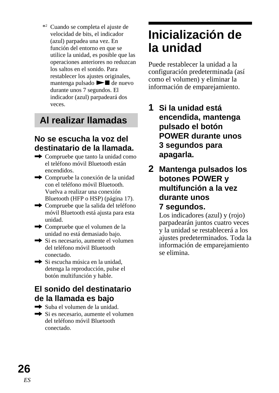<span id="page-51-0"></span>\*2 Cuando se completa el ajuste de velocidad de bits, el indicador (azul) parpadea una vez. En función del entorno en que se utilice la unidad, es posible que las operaciones anteriores no reduzcan los saltos en el sonido. Para restablecer los ajustes originales, mantenga pulsado  $\blacktriangleright$   $\blacksquare$  de nuevo durante unos 7 segundos. El indicador (azul) parpadeará dos veces.

### **Al realizar llamadas**

#### **No se escucha la voz del destinatario de la llamada.**

- $\rightarrow$  Compruebe que tanto la unidad como el teléfono móvil Bluetooth están encendidos.
- $\rightarrow$  Compruebe la conexión de la unidad con el teléfono móvil Bluetooth. Vuelva a realizar una conexión Bluetooth (HFP o HSP) (página 17).
- **→** Compruebe que la salida del teléfono móvil Bluetooth está ajusta para esta unidad.
- **→** Compruebe que el volumen de la unidad no está demasiado bajo.
- $\rightarrow$  Si es necesario, aumente el volumen del teléfono móvil Bluetooth conectado.
- $\rightarrow$  Si escucha música en la unidad. detenga la reproducción, pulse el botón multifunción y hable.

### **El sonido del destinatario de la llamada es bajo**

- $\rightarrow$  Suba el volumen de la unidad.
- Si es necesario, aumente el volumen del teléfono móvil Bluetooth conectado.

## **Inicialización de la unidad**

Puede restablecer la unidad a la configuración predeterminada (así como el volumen) y eliminar la información de emparejamiento.

- **1 Si la unidad está encendida, mantenga pulsado el botón POWER durante unos 3 segundos para apagarla.**
- **2 Mantenga pulsados los botones POWER y multifunción a la vez durante unos 7 segundos.**

Los indicadores (azul) y (rojo) parpadearán juntos cuatro veces y la unidad se restablecerá a los ajustes predeterminados. Toda la información de emparejamiento se elimina.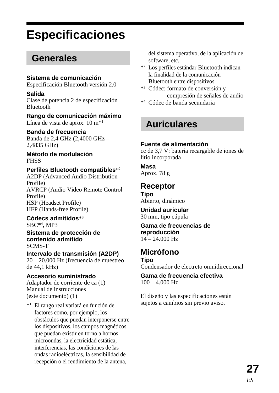## <span id="page-52-0"></span>**Especificaciones**

### **Generales**

#### **Sistema de comunicación**

Especificación Bluetooth versión 2.0

#### **Salida**

Clase de potencia 2 de especificación Bluetooth

**Rango de comunicación máximo** Línea de vista de aprox. 10 m\*1

#### **Banda de frecuencia**

Banda de 2,4 GHz (2,4000 GHz – 2,4835 GHz)

**Método de modulación** FHSS

#### **Perfiles Bluetooth compatibles**\*2

A2DP (Advanced Audio Distribution Profile) AVRCP (Audio Video Remote Control Profile) HSP (Headset Profile) HFP (Hands-free Profile)

#### **Códecs admitidos**\*3

SBC\*4 , MP3

**Sistema de protección de contenido admitido** SCMS-T

#### **Intervalo de transmisión (A2DP)**

20 – 20.000 Hz (frecuencia de muestreo de 44,1 kHz)

#### **Accesorio suministrado**

Adaptador de corriente de ca (1) Manual de instrucciones (este documento) (1)

\*1 El rango real variará en función de factores como, por ejemplo, los obstáculos que puedan interponerse entre los dispositivos, los campos magnéticos que puedan existir en torno a hornos microondas, la electricidad estática, interferencias, las condiciones de las ondas radioeléctricas, la sensibilidad de recepción o el rendimiento de la antena,

del sistema operativo, de la aplicación de software, etc.

- \*2 Los perfiles estándar Bluetooth indican la finalidad de la comunicación Bluetooth entre dispositivos.
- \*3 Códec: formato de conversión y compresión de señales de audio
- \*4 Códec de banda secundaria

### **Auriculares**

#### **Fuente de alimentación**

cc de 3,7 V: batería recargable de iones de litio incorporada

#### **Masa**

Aprox. 78 g

#### **Receptor**

**Tipo** Abierto, dinámico

**Unidad auricular** 30 mm, tipo cúpula

**Gama de frecuencias de reproducción**  $14 - 24.000$  Hz

#### **Micrófono**

**Tipo**

Condensador de electreto omnidireccional

**Gama de frecuencia efectiva**  $100 - 4.000$  Hz

El diseño y las especificaciones están sujetos a cambios sin previo aviso.